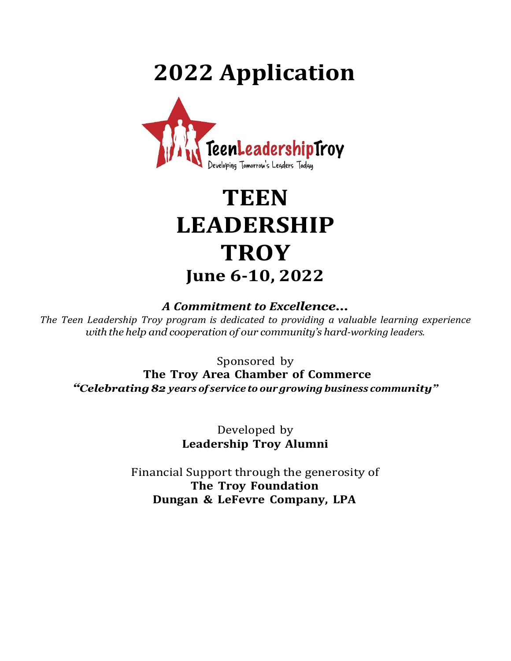# **2022 Application**



# **TEEN LEADERSHIP TROY June 6-10, 2022**

### *A Commitment to Excellence…*

*The Teen Leadership Troy program is dedicated to providing a valuable learning experience with the help and cooperation of our community's hard-working leaders.*

Sponsored by

**The Troy Area Chamber of Commerce**

*"Celebrating82 years of service to our growing business community"*

Developed by **Leadership Troy Alumni**

Financial Support through the generosity of **The Troy Foundation Dungan & LeFevre Company, LPA**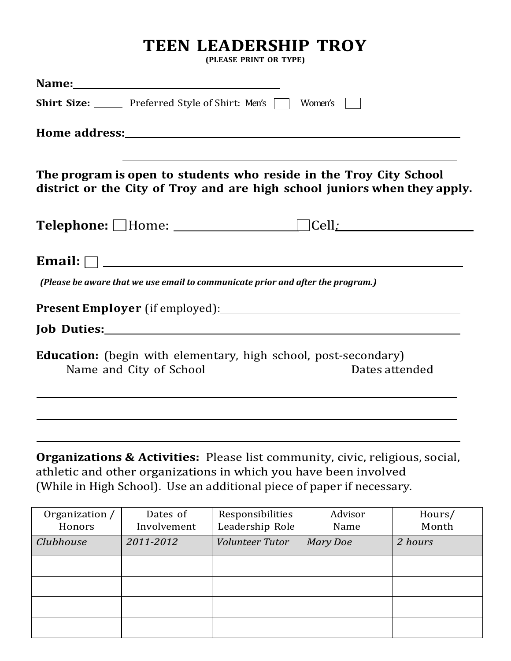# **TEEN LEADERSHIP TROY**

**(PLEASE PRINT OR TYPE)**

|                                                                                                                                                                                                                                     | <b>Shirt Size:</b> Preferred Style of Shirt: Men's |                                                                                         | Women's |        |  |  |  |
|-------------------------------------------------------------------------------------------------------------------------------------------------------------------------------------------------------------------------------------|----------------------------------------------------|-----------------------------------------------------------------------------------------|---------|--------|--|--|--|
|                                                                                                                                                                                                                                     |                                                    |                                                                                         |         |        |  |  |  |
| ,我们也不能在这里的时候,我们也不能在这里的时候,我们也不能会在这里的时候,我们也不能会在这里的时候,我们也不能会在这里的时候,我们也不能会在这里的时候,我们也<br>The program is open to students who reside in the Troy City School<br>district or the City of Troy and are high school juniors when they apply. |                                                    |                                                                                         |         |        |  |  |  |
|                                                                                                                                                                                                                                     |                                                    |                                                                                         |         |        |  |  |  |
|                                                                                                                                                                                                                                     |                                                    | (Please be aware that we use email to communicate prior and after the program.)         |         |        |  |  |  |
|                                                                                                                                                                                                                                     |                                                    |                                                                                         |         |        |  |  |  |
|                                                                                                                                                                                                                                     |                                                    |                                                                                         |         |        |  |  |  |
| <b>Education:</b> (begin with elementary, high school, post-secondary)<br>Name and City of School<br>Dates attended                                                                                                                 |                                                    |                                                                                         |         |        |  |  |  |
|                                                                                                                                                                                                                                     |                                                    | <b>Organizations &amp; Activities:</b> Please list community, civic, religious, social, |         |        |  |  |  |
| athletic and other organizations in which you have been involved<br>(While in High School). Use an additional piece of paper if necessary.                                                                                          |                                                    |                                                                                         |         |        |  |  |  |
|                                                                                                                                                                                                                                     |                                                    |                                                                                         |         |        |  |  |  |
| Organization /                                                                                                                                                                                                                      | Dates of                                           | Responsibilities                                                                        | Advisor | Hours/ |  |  |  |

| Organization / | Dates of    | Responsibilities | Advisor         | Hours/  |
|----------------|-------------|------------------|-----------------|---------|
| Honors         | Involvement | Leadership Role  | Name            | Month   |
| Clubhouse      | 2011-2012   | Volunteer Tutor  | <b>Mary Doe</b> | 2 hours |
|                |             |                  |                 |         |
|                |             |                  |                 |         |
|                |             |                  |                 |         |
|                |             |                  |                 |         |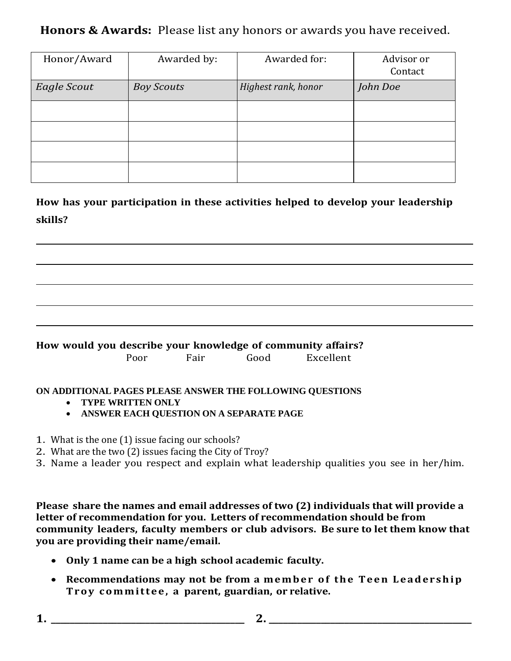## **Honors & Awards:** Please list any honors or awards you have received.

| Honor/Award | Awarded by:       | Awarded for:        | Advisor or<br>Contact |
|-------------|-------------------|---------------------|-----------------------|
| Eagle Scout | <b>Boy Scouts</b> | Highest rank, honor | John Doe              |
|             |                   |                     |                       |
|             |                   |                     |                       |
|             |                   |                     |                       |
|             |                   |                     |                       |

**How has your participation in these activities helped to develop your leadership skills?**

#### **How would you describe your knowledge of community affairs?**

| Poor<br>Excellent<br>Good<br>Fair |  |
|-----------------------------------|--|

#### **ON ADDITIONAL PAGES PLEASE ANSWER THE FOLLOWING QUESTIONS**

- **TYPE WRITTEN ONLY**
- **ANSWER EACH QUESTION ON A SEPARATE PAGE**
- 1. What is the one (1) issue facing our schools?
- 2. What are the two (2) issues facing the City of Troy?
- 3. Name a leader you respect and explain what leadership qualities you see in her/him.

**Please share the names and email addresses of two (2) individuals that will provide a letter of recommendation for you. Letters of recommendation should be from community leaders, faculty members or club advisors. Be sure to let them know that you are providing their name/email.** 

- **Only 1 name can be a high school academic faculty.**
- **•** Recommendations may not be from a member of the Teen Leadership **T r o y c o m m i t t e e , a parent, guardian, or relative.**